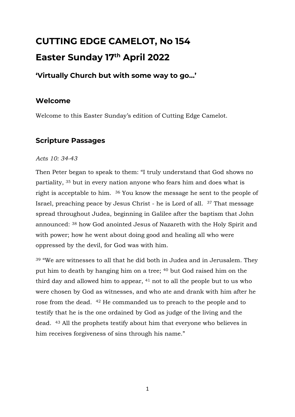# **CUTTING EDGE CAMELOT, No 154 Easter Sunday 17 th April 2022**

# **'Virtually Church but with some way to go…'**

# **Welcome**

Welcome to this Easter Sunday's edition of Cutting Edge Camelot.

# **Scripture Passages**

#### *Acts 10: 34-43*

Then Peter began to speak to them: "I truly understand that God shows no partiality, <sup>35</sup> but in every nation anyone who fears him and does what is right is acceptable to him. <sup>36</sup> You know the message he sent to the people of Israel, preaching peace by Jesus Christ - he is Lord of all. <sup>37</sup> That message spread throughout Judea, beginning in Galilee after the baptism that John announced: <sup>38</sup> how God anointed Jesus of Nazareth with the Holy Spirit and with power; how he went about doing good and healing all who were oppressed by the devil, for God was with him.

<sup>39</sup> "We are witnesses to all that he did both in Judea and in Jerusalem. They put him to death by hanging him on a tree; <sup>40</sup> but God raised him on the third day and allowed him to appear, <sup>41</sup> not to all the people but to us who were chosen by God as witnesses, and who ate and drank with him after he rose from the dead. <sup>42</sup> He commanded us to preach to the people and to testify that he is the one ordained by God as judge of the living and the dead. <sup>43</sup> All the prophets testify about him that everyone who believes in him receives forgiveness of sins through his name."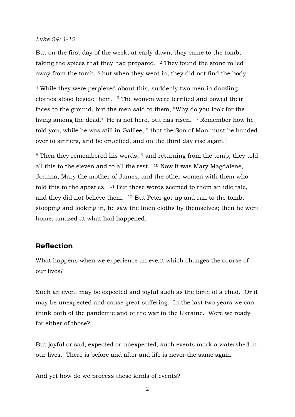#### *Luke 24: 1-12*

But on the first day of the week, at early dawn, they came to the tomb, taking the spices that they had prepared.  $\frac{2}{3}$  They found the stone rolled away from the tomb, <sup>3</sup> but when they went in, they did not find the body.

<sup>4</sup> While they were perplexed about this, suddenly two men in dazzling clothes stood beside them. <sup>5</sup> The women were terrified and bowed their faces to the ground, but the men said to them, "Why do you look for the living among the dead? He is not here, but has risen. <sup>6</sup> Remember how he told you, while he was still in Galilee, <sup>7</sup> that the Son of Man must be handed over to sinners, and be crucified, and on the third day rise again."

<sup>8</sup> Then they remembered his words, <sup>9</sup> and returning from the tomb, they told all this to the eleven and to all the rest.  $10$  Now it was Mary Magdalene, Joanna, Mary the mother of James, and the other women with them who told this to the apostles. <sup>11</sup> But these words seemed to them an idle tale, and they did not believe them. <sup>12</sup> But Peter got up and ran to the tomb; stooping and looking in, he saw the linen cloths by themselves; then he went home, amazed at what had happened.

## **Reflection**

What happens when we experience an event which changes the course of our lives?

Such an event may be expected and joyful such as the birth of a child. Or it may be unexpected and cause great suffering. In the last two years we can think both of the pandemic and of the war in the Ukraine. Were we ready for either of those?

But joyful or sad, expected or unexpected, such events mark a watershed in our lives. There is before and after and life is never the same again.

And yet how do we process these kinds of events?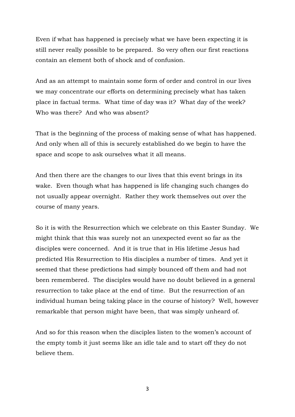Even if what has happened is precisely what we have been expecting it is still never really possible to be prepared. So very often our first reactions contain an element both of shock and of confusion.

And as an attempt to maintain some form of order and control in our lives we may concentrate our efforts on determining precisely what has taken place in factual terms. What time of day was it? What day of the week? Who was there? And who was absent?

That is the beginning of the process of making sense of what has happened. And only when all of this is securely established do we begin to have the space and scope to ask ourselves what it all means.

And then there are the changes to our lives that this event brings in its wake. Even though what has happened is life changing such changes do not usually appear overnight. Rather they work themselves out over the course of many years.

So it is with the Resurrection which we celebrate on this Easter Sunday. We might think that this was surely not an unexpected event so far as the disciples were concerned. And it is true that in His lifetime Jesus had predicted His Resurrection to His disciples a number of times. And yet it seemed that these predictions had simply bounced off them and had not been remembered. The disciples would have no doubt believed in a general resurrection to take place at the end of time. But the resurrection of an individual human being taking place in the course of history? Well, however remarkable that person might have been, that was simply unheard of.

And so for this reason when the disciples listen to the women's account of the empty tomb it just seems like an idle tale and to start off they do not believe them.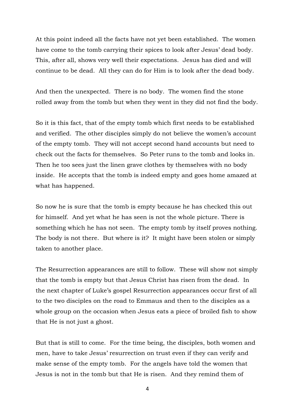At this point indeed all the facts have not yet been established. The women have come to the tomb carrying their spices to look after Jesus' dead body. This, after all, shows very well their expectations. Jesus has died and will continue to be dead. All they can do for Him is to look after the dead body.

And then the unexpected. There is no body. The women find the stone rolled away from the tomb but when they went in they did not find the body.

So it is this fact, that of the empty tomb which first needs to be established and verified. The other disciples simply do not believe the women's account of the empty tomb. They will not accept second hand accounts but need to check out the facts for themselves. So Peter runs to the tomb and looks in. Then he too sees just the linen grave clothes by themselves with no body inside. He accepts that the tomb is indeed empty and goes home amazed at what has happened.

So now he is sure that the tomb is empty because he has checked this out for himself. And yet what he has seen is not the whole picture. There is something which he has not seen. The empty tomb by itself proves nothing. The body is not there. But where is it? It might have been stolen or simply taken to another place.

The Resurrection appearances are still to follow. These will show not simply that the tomb is empty but that Jesus Christ has risen from the dead. In the next chapter of Luke's gospel Resurrection appearances occur first of all to the two disciples on the road to Emmaus and then to the disciples as a whole group on the occasion when Jesus eats a piece of broiled fish to show that He is not just a ghost.

But that is still to come. For the time being, the disciples, both women and men, have to take Jesus' resurrection on trust even if they can verify and make sense of the empty tomb. For the angels have told the women that Jesus is not in the tomb but that He is risen. And they remind them of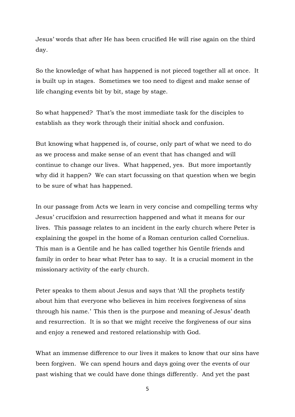Jesus' words that after He has been crucified He will rise again on the third day.

So the knowledge of what has happened is not pieced together all at once. It is built up in stages. Sometimes we too need to digest and make sense of life changing events bit by bit, stage by stage.

So what happened? That's the most immediate task for the disciples to establish as they work through their initial shock and confusion.

But knowing what happened is, of course, only part of what we need to do as we process and make sense of an event that has changed and will continue to change our lives. What happened, yes. But more importantly why did it happen? We can start focussing on that question when we begin to be sure of what has happened.

In our passage from Acts we learn in very concise and compelling terms why Jesus' crucifixion and resurrection happened and what it means for our lives. This passage relates to an incident in the early church where Peter is explaining the gospel in the home of a Roman centurion called Cornelius. This man is a Gentile and he has called together his Gentile friends and family in order to hear what Peter has to say. It is a crucial moment in the missionary activity of the early church.

Peter speaks to them about Jesus and says that 'All the prophets testify about him that everyone who believes in him receives forgiveness of sins through his name.' This then is the purpose and meaning of Jesus' death and resurrection. It is so that we might receive the forgiveness of our sins and enjoy a renewed and restored relationship with God.

What an immense difference to our lives it makes to know that our sins have been forgiven. We can spend hours and days going over the events of our past wishing that we could have done things differently. And yet the past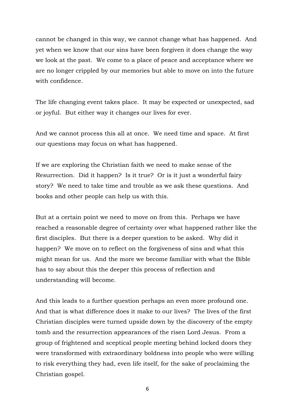cannot be changed in this way, we cannot change what has happened. And yet when we know that our sins have been forgiven it does change the way we look at the past. We come to a place of peace and acceptance where we are no longer crippled by our memories but able to move on into the future with confidence.

The life changing event takes place. It may be expected or unexpected, sad or joyful. But either way it changes our lives for ever.

And we cannot process this all at once. We need time and space. At first our questions may focus on what has happened.

If we are exploring the Christian faith we need to make sense of the Resurrection. Did it happen? Is it true? Or is it just a wonderful fairy story? We need to take time and trouble as we ask these questions. And books and other people can help us with this.

But at a certain point we need to move on from this. Perhaps we have reached a reasonable degree of certainty over what happened rather like the first disciples. But there is a deeper question to be asked. Why did it happen? We move on to reflect on the forgiveness of sins and what this might mean for us. And the more we become familiar with what the Bible has to say about this the deeper this process of reflection and understanding will become.

And this leads to a further question perhaps an even more profound one. And that is what difference does it make to our lives? The lives of the first Christian disciples were turned upside down by the discovery of the empty tomb and the resurrection appearances of the risen Lord Jesus. From a group of frightened and sceptical people meeting behind locked doors they were transformed with extraordinary boldness into people who were willing to risk everything they had, even life itself, for the sake of proclaiming the Christian gospel.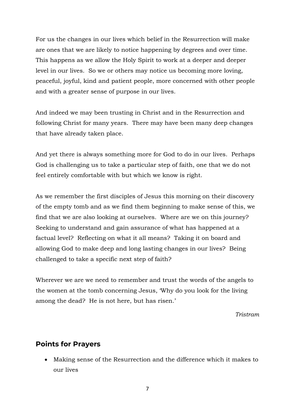For us the changes in our lives which belief in the Resurrection will make are ones that we are likely to notice happening by degrees and over time. This happens as we allow the Holy Spirit to work at a deeper and deeper level in our lives. So we or others may notice us becoming more loving, peaceful, joyful, kind and patient people, more concerned with other people and with a greater sense of purpose in our lives.

And indeed we may been trusting in Christ and in the Resurrection and following Christ for many years. There may have been many deep changes that have already taken place.

And yet there is always something more for God to do in our lives. Perhaps God is challenging us to take a particular step of faith, one that we do not feel entirely comfortable with but which we know is right.

As we remember the first disciples of Jesus this morning on their discovery of the empty tomb and as we find them beginning to make sense of this, we find that we are also looking at ourselves. Where are we on this journey? Seeking to understand and gain assurance of what has happened at a factual level? Reflecting on what it all means? Taking it on board and allowing God to make deep and long lasting changes in our lives? Being challenged to take a specific next step of faith?

Wherever we are we need to remember and trust the words of the angels to the women at the tomb concerning Jesus, 'Why do you look for the living among the dead? He is not here, but has risen.'

*Tristram*

#### **Points for Prayers**

• Making sense of the Resurrection and the difference which it makes to our lives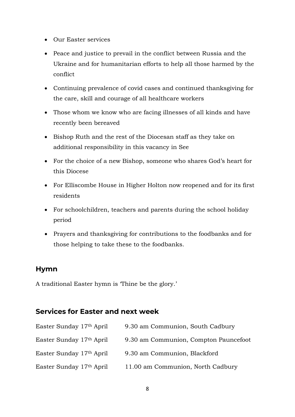- Our Easter services
- Peace and justice to prevail in the conflict between Russia and the Ukraine and for humanitarian efforts to help all those harmed by the conflict
- Continuing prevalence of covid cases and continued thanksgiving for the care, skill and courage of all healthcare workers
- Those whom we know who are facing illnesses of all kinds and have recently been bereaved
- Bishop Ruth and the rest of the Diocesan staff as they take on additional responsibility in this vacancy in See
- For the choice of a new Bishop, someone who shares God's heart for this Diocese
- For Elliscombe House in Higher Holton now reopened and for its first residents
- For schoolchildren, teachers and parents during the school holiday period
- Prayers and thanksgiving for contributions to the foodbanks and for those helping to take these to the foodbanks.

# **Hymn**

A traditional Easter hymn is 'Thine be the glory.'

# **Services for Easter and next week**

| Easter Sunday 17th April | 9.30 am Communion, South Cadbury      |
|--------------------------|---------------------------------------|
| Easter Sunday 17th April | 9.30 am Communion, Compton Pauncefoot |
| Easter Sunday 17th April | 9.30 am Communion, Blackford          |
| Easter Sunday 17th April | 11.00 am Communion, North Cadbury     |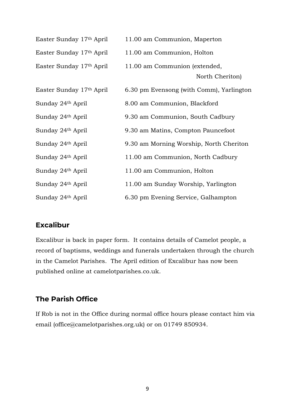| Easter Sunday 17th April | 11.00 am Communion, Maperton                     |
|--------------------------|--------------------------------------------------|
| Easter Sunday 17th April | 11.00 am Communion, Holton                       |
| Easter Sunday 17th April | 11.00 am Communion (extended,<br>North Cheriton) |
| Easter Sunday 17th April | 6.30 pm Evensong (with Comm), Yarlington         |
| Sunday 24th April        | 8.00 am Communion, Blackford                     |
| Sunday 24th April        | 9.30 am Communion, South Cadbury                 |
| Sunday 24th April        | 9.30 am Matins, Compton Pauncefoot               |
| Sunday 24th April        | 9.30 am Morning Worship, North Cheriton          |
| Sunday 24th April        | 11.00 am Communion, North Cadbury                |
| Sunday 24th April        | 11.00 am Communion, Holton                       |
| Sunday 24th April        | 11.00 am Sunday Worship, Yarlington              |
| Sunday 24th April        | 6.30 pm Evening Service, Galhampton              |

## **Excalibur**

Excalibur is back in paper form. It contains details of Camelot people, a record of baptisms, weddings and funerals undertaken through the church in the Camelot Parishes. The April edition of Excalibur has now been published online at camelotparishes.co.uk.

## **The Parish Office**

If Rob is not in the Office during normal office hours please contact him via email (office@camelotparishes.org.uk) or on 01749 850934.